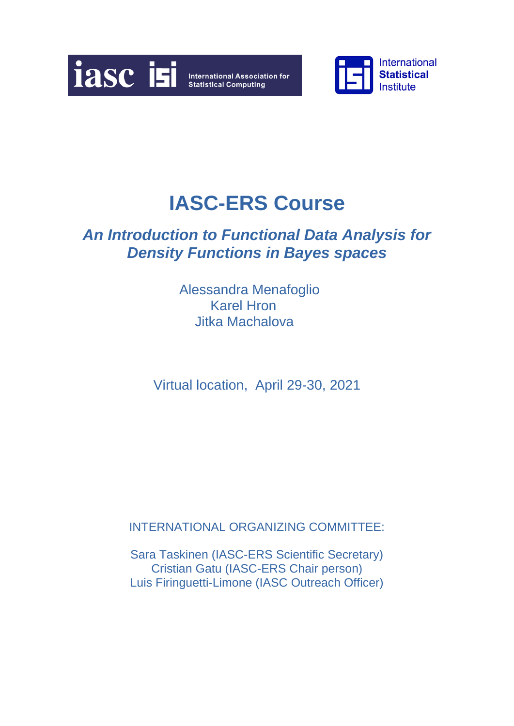



## *An Introduction to Functional Data Analysis for Density Functions in Bayes spaces*

Alessandra Menafoglio Karel Hron Jitka Machalova

Virtual location, April 29-30, 2021

INTERNATIONAL ORGANIZING COMMITTEE:

Sara Taskinen (IASC-ERS Scientific Secretary) Cristian Gatu (IASC-ERS Chair person) Luis Firinguetti-Limone (IASC Outreach Officer)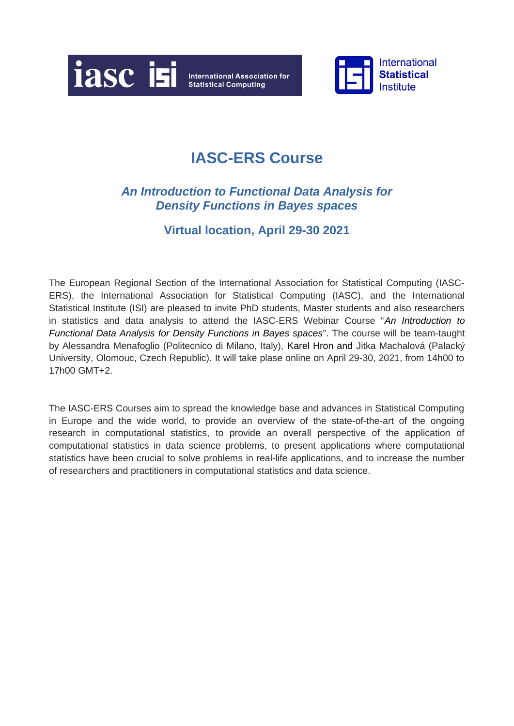



### *An Introduction to Functional Data Analysis for Density Functions in Bayes spaces*

### **Virtual location, April 29-30 2021**

The European Regional Section of the International Association for Statistical Computing (IASC-ERS), the International Association for Statistical Computing (IASC), and the International Statistical Institute (ISI) are pleased to invite PhD students, Master students and also researchers in statistics and data analysis to attend the IASC-ERS Webinar Course "*An Introduction to Functional Data Analysis for Density Functions in Bayes spaces*". The course will be team-taught by Alessandra Menafoglio (Politecnico di Milano, Italy), Karel Hron and Jitka Machalová (Palacký University, Olomouc, Czech Republic). It will take plase online on April 29-30, 2021, from 14h00 to 17h00 GMT+2.

The IASC-ERS Courses aim to spread the knowledge base and advances in Statistical Computing in Europe and the wide world, to provide an overview of the state-of-the-art of the ongoing research in computational statistics, to provide an overall perspective of the application of computational statistics in data science problems, to present applications where computational statistics have been crucial to solve problems in real-life applications, and to increase the number of researchers and practitioners in computational statistics and data science.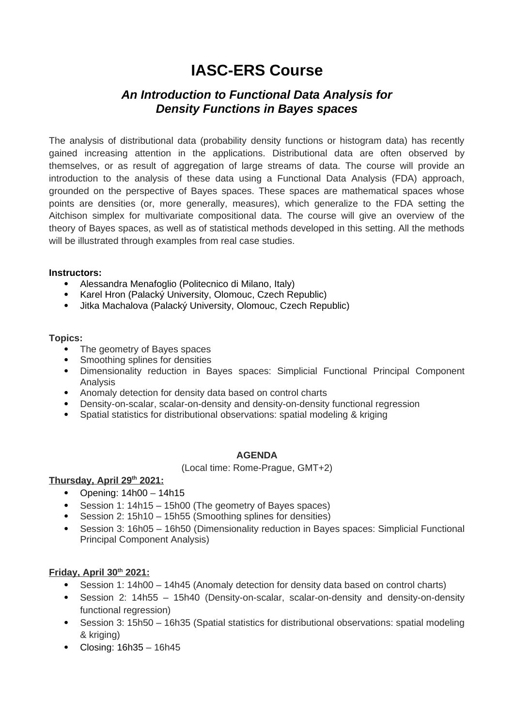### *An Introduction to Functional Data Analysis for Density Functions in Bayes spaces*

The analysis of distributional data (probability density functions or histogram data) has recently gained increasing attention in the applications. Distributional data are often observed by themselves, or as result of aggregation of large streams of data. The course will provide an introduction to the analysis of these data using a Functional Data Analysis (FDA) approach, grounded on the perspective of Bayes spaces. These spaces are mathematical spaces whose points are densities (or, more generally, measures), which generalize to the FDA setting the Aitchison simplex for multivariate compositional data. The course will give an overview of the theory of Bayes spaces, as well as of statistical methods developed in this setting. All the methods will be illustrated through examples from real case studies.

#### **Instructors:**

- Alessandra Menafoglio (Politecnico di Milano, Italy)
- Karel Hron (Palacký University, Olomouc, Czech Republic)
- Jitka Machalova (Palacký University, Olomouc, Czech Republic)

#### **Topics:**

- The geometry of Bayes spaces
- Smoothing splines for densities
- Dimensionality reduction in Bayes spaces: Simplicial Functional Principal Component Analysis
- Anomaly detection for density data based on control charts
- Density-on-scalar, scalar-on-density and density-on-density functional regression
- Spatial statistics for distributional observations: spatial modeling & kriging

#### **AGENDA**

(Local time: Rome-Prague, GMT+2)

#### **Thursday, April 29th 2021:**

- Opening:  $14h00 14h15$
- Session 1: 14h15 15h00 (The geometry of Bayes spaces)
- Session 2: 15h10 15h55 (Smoothing splines for densities)
- Session 3: 16h05 16h50 (Dimensionality reduction in Bayes spaces: Simplicial Functional Principal Component Analysis)

#### **Friday, April 30th 2021:**

- Session 1: 14h00 14h45 (Anomaly detection for density data based on control charts)
- Session 2: 14h55 15h40 (Density-on-scalar, scalar-on-density and density-on-density functional regression)
- Session 3: 15h50 16h35 (Spatial statistics for distributional observations: spatial modeling & kriging)
- $\bullet$  Closing: 16h35 16h45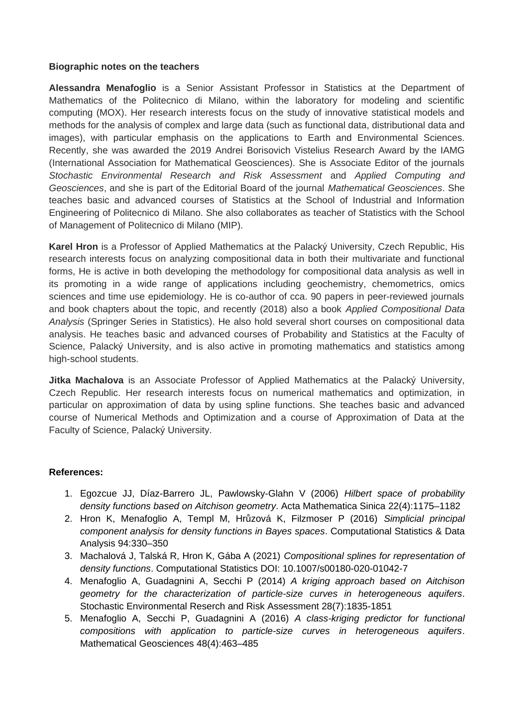#### **Biographic notes on the teachers**

**Alessandra Menafoglio** is a Senior Assistant Professor in Statistics at the Department of Mathematics of the Politecnico di Milano, within the laboratory for modeling and scientific computing (MOX). Her research interests focus on the study of innovative statistical models and methods for the analysis of complex and large data (such as functional data, distributional data and images), with particular emphasis on the applications to Earth and Environmental Sciences. Recently, she was awarded the 2019 Andrei Borisovich Vistelius Research Award by the IAMG (International Association for Mathematical Geosciences). She is Associate Editor of the journals *Stochastic Environmental Research and Risk Assessment* and *Applied Computing and Geosciences*, and she is part of the Editorial Board of the journal *Mathematical Geosciences*. She teaches basic and advanced courses of Statistics at the School of Industrial and Information Engineering of Politecnico di Milano. She also collaborates as teacher of Statistics with the School of Management of Politecnico di Milano (MIP).

**Karel Hron** is a Professor of Applied Mathematics at the Palacký University, Czech Republic, His research interests focus on analyzing compositional data in both their multivariate and functional forms, He is active in both developing the methodology for compositional data analysis as well in its promoting in a wide range of applications including geochemistry, chemometrics, omics sciences and time use epidemiology. He is co-author of cca. 90 papers in peer-reviewed journals and book chapters about the topic, and recently (2018) also a book *Applied Compositional Data Analysis* (Springer Series in Statistics). He also hold several short courses on compositional data analysis. He teaches basic and advanced courses of Probability and Statistics at the Faculty of Science, Palacký University, and is also active in promoting mathematics and statistics among high-school students.

**Jitka Machalova** is an Associate Professor of Applied Mathematics at the Palacký University, Czech Republic. Her research interests focus on numerical mathematics and optimization, in particular on approximation of data by using spline functions. She teaches basic and advanced course of Numerical Methods and Optimization and a course of Approximation of Data at the Faculty of Science, Palacký University.

#### **References:**

- 1. Egozcue JJ, Díaz-Barrero JL, Pawlowsky-Glahn V (2006) *Hilbert space of probability density functions based on Aitchison geometry*. Acta Mathematica Sinica 22(4):1175–1182
- 2. Hron K, Menafoglio A, Templ M, Hrůzová K, Filzmoser P (2016) *Simplicial principal component analysis for density functions in Bayes spaces*. Computational Statistics & Data Analysis 94:330–350
- 3. Machalová J, Talská R, Hron K, Gába A (2021) *Compositional splines for representation of density functions*. Computational Statistics DOI: 10.1007/s00180-020-01042-7
- 4. Menafoglio A, Guadagnini A, Secchi P (2014) *A kriging approach based on Aitchison geometry for the characterization of particle-size curves in heterogeneous aquifers*. Stochastic Environmental Reserch and Risk Assessment 28(7):1835-1851
- 5. Menafoglio A, Secchi P, Guadagnini A (2016) *A class-kriging predictor for functional compositions with application to particle-size curves in heterogeneous aquifers*. Mathematical Geosciences 48(4):463–485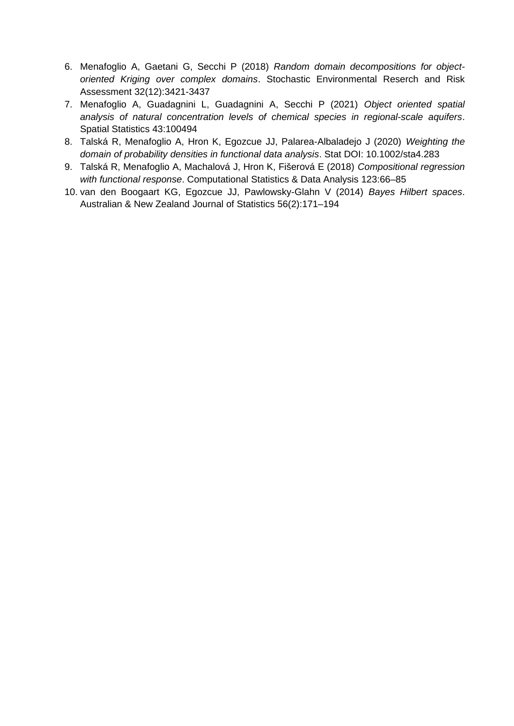- 6. Menafoglio A, Gaetani G, Secchi P (2018) *Random domain decompositions for objectoriented Kriging over complex domains*. Stochastic Environmental Reserch and Risk Assessment 32(12):3421-3437
- 7. Menafoglio A, Guadagnini L, Guadagnini A, Secchi P (2021) *Object oriented spatial analysis of natural concentration levels of chemical species in regional-scale aquifers*. Spatial Statistics 43:100494
- 8. Talská R, Menafoglio A, Hron K, Egozcue JJ, Palarea-Albaladejo J (2020) *Weighting the domain of probability densities in functional data analysis*. Stat DOI: 10.1002/sta4.283
- 9. Talská R, Menafoglio A, Machalová J, Hron K, Fišerová E (2018) *Compositional regression with functional response*. Computational Statistics & Data Analysis 123:66–85
- 10. van den Boogaart KG, Egozcue JJ, Pawlowsky-Glahn V (2014) *Bayes Hilbert spaces*. Australian & New Zealand Journal of Statistics 56(2):171–194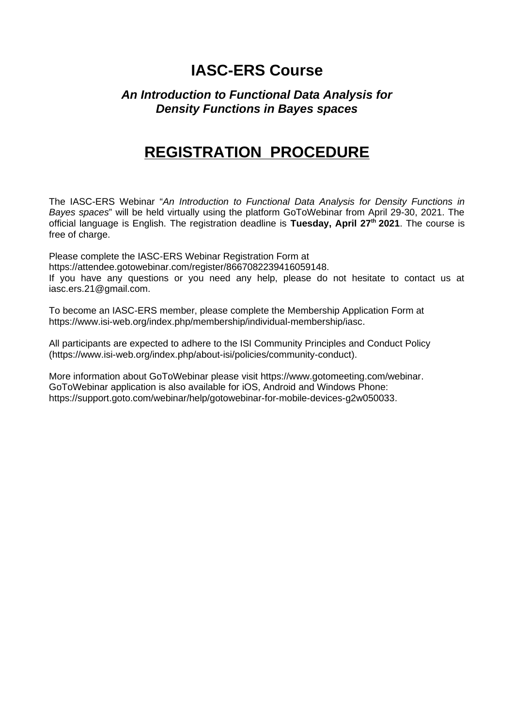### *An Introduction to Functional Data Analysis for Density Functions in Bayes spaces*

### **REGISTRATION PROCEDURE**

The IASC-ERS Webinar "*An Introduction to Functional Data Analysis for Density Functions in Bayes spaces*" will be held virtually using the platform GoToWebinar from April 29-30, 2021. The official language is English. The registration deadline is **Tuesday, April 27th 2021**. The course is free of charge.

Please complete the IASC-ERS Webinar Registration Form at https://attendee.gotowebinar.com/register/8667082239416059148. If you have any questions or you need any help, please do not hesitate to contact us at iasc.ers.21@gmail.com.

To become an IASC-ERS member, please complete the Membership Application Form at <https://www.isi-web.org/index.php/membership/individual-membership/iasc>.

All participants are expected to adhere to the ISI Community Principles and Conduct Policy [\(https://www.isi-web.org/index.php/about-isi/policies/community-conduct](https://www.isi-web.org/index.php/about-isi/policies/community-conduct)).

More information about GoToWebinar please visit [https://www.gotomeeting.com/webinar.](https://www.gotomeeting.com/webinar) GoToWebinar application is also available for iOS, Android and Windows Phone: <https://support.goto.com/webinar/help/gotowebinar-for-mobile-devices-g2w050033>.